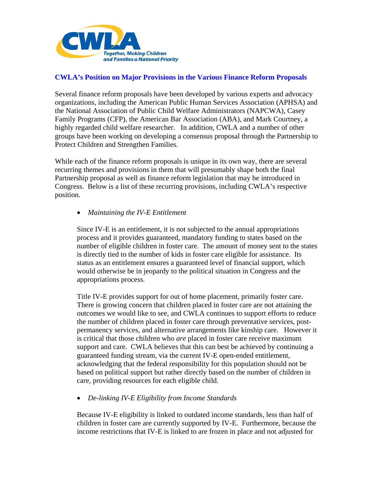

## **CWLA's Position on Major Provisions in the Various Finance Reform Proposals**

Several finance reform proposals have been developed by various experts and advocacy organizations, including the American Public Human Services Association (APHSA) and the National Association of Public Child Welfare Administrators (NAPCWA), Casey Family Programs (CFP), the American Bar Association (ABA), and Mark Courtney, a highly regarded child welfare researcher. In addition, CWLA and a number of other groups have been working on developing a consensus proposal through the Partnership to Protect Children and Strengthen Families.

While each of the finance reform proposals is unique in its own way, there are several recurring themes and provisions in them that will presumably shape both the final Partnership proposal as well as finance reform legislation that may be introduced in Congress. Below is a list of these recurring provisions, including CWLA's respective position.

• *Maintaining the IV-E Entitlement* 

Since IV-E is an entitlement, it is not subjected to the annual appropriations process and it provides guaranteed, mandatory funding to states based on the number of eligible children in foster care. The amount of money sent to the states is directly tied to the number of kids in foster care eligible for assistance. Its status as an entitlement ensures a guaranteed level of financial support, which would otherwise be in jeopardy to the political situation in Congress and the appropriations process.

 Title IV-E provides support for out of home placement, primarily foster care. There is growing concern that children placed in foster care are not attaining the outcomes we would like to see, and CWLA continues to support efforts to reduce the number of children placed in foster care through preventative services, post permanency services, and alternative arrangements like kinship care. However it is critical that those children who *are* placed in foster care receive maximum support and care. CWLA believes that this can best be achieved by continuing a guaranteed funding stream, via the current IV-E open-ended entitlement, acknowledging that the federal responsibility for this population should not be based on political support but rather directly based on the number of children in care, providing resources for each eligible child.

• *De-linking IV-E Eligibility from Income Standards* 

 Because IV-E eligibility is linked to outdated income standards, less than half of children in foster care are currently supported by IV-E. Furthermore, because the income restrictions that IV-E is linked to are frozen in place and not adjusted for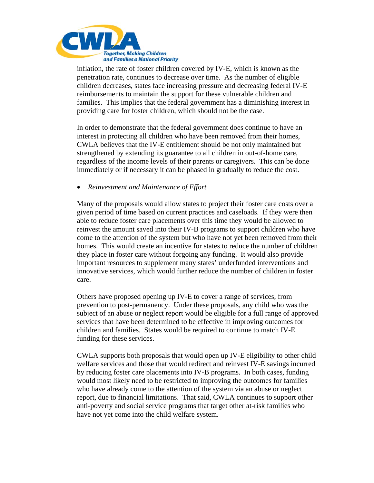

 inflation, the rate of foster children covered by IV-E, which is known as the penetration rate, continues to decrease over time. As the number of eligible children decreases, states face increasing pressure and decreasing federal IV-E reimbursements to maintain the support for these vulnerable children and families. This implies that the federal government has a diminishing interest in providing care for foster children, which should not be the case.

 In order to demonstrate that the federal government does continue to have an interest in protecting all children who have been removed from their homes, CWLA believes that the IV-E entitlement should be not only maintained but strengthened by extending its guarantee to all children in out-of-home care, regardless of the income levels of their parents or caregivers. This can be done immediately or if necessary it can be phased in gradually to reduce the cost.

• *Reinvestment and Maintenance of Effort* 

 Many of the proposals would allow states to project their foster care costs over a given period of time based on current practices and caseloads. If they were then able to reduce foster care placements over this time they would be allowed to reinvest the amount saved into their IV-B programs to support children who have come to the attention of the system but who have not yet been removed from their homes. This would create an incentive for states to reduce the number of children they place in foster care without forgoing any funding. It would also provide important resources to supplement many states' underfunded interventions and innovative services, which would further reduce the number of children in foster care.

Others have proposed opening up IV-E to cover a range of services, from prevention to post-permanency. Under these proposals, any child who was the subject of an abuse or neglect report would be eligible for a full range of approved services that have been determined to be effective in improving outcomes for children and families. States would be required to continue to match IV-E funding for these services.

CWLA supports both proposals that would open up IV-E eligibility to other child welfare services and those that would redirect and reinvest IV-E savings incurred by reducing foster care placements into IV-B programs. In both cases, funding would most likely need to be restricted to improving the outcomes for families who have already come to the attention of the system via an abuse or neglect report, due to financial limitations. That said, CWLA continues to support other anti-poverty and social service programs that target other at-risk families who have not yet come into the child welfare system.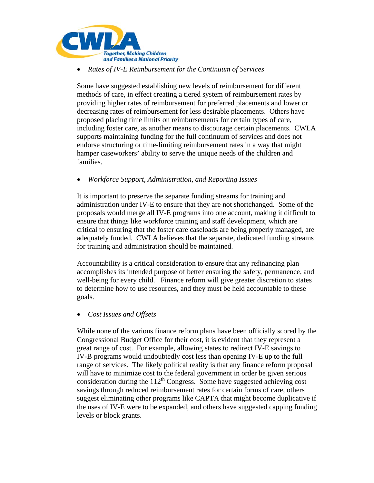

• *Rates of IV-E Reimbursement for the Continuum of Services* 

Some have suggested establishing new levels of reimbursement for different methods of care, in effect creating a tiered system of reimbursement rates by providing higher rates of reimbursement for preferred placements and lower or decreasing rates of reimbursement for less desirable placements. Others have proposed placing time limits on reimbursements for certain types of care, including foster care, as another means to discourage certain placements. CWLA supports maintaining funding for the full continuum of services and does not endorse structuring or time-limiting reimbursement rates in a way that might hamper caseworkers' ability to serve the unique needs of the children and families.

• *Workforce Support, Administration, and Reporting Issues* 

 It is important to preserve the separate funding streams for training and administration under IV-E to ensure that they are not shortchanged. Some of the proposals would merge all IV-E programs into one account, making it difficult to ensure that things like workforce training and staff development, which are critical to ensuring that the foster care caseloads are being properly managed, are adequately funded. CWLA believes that the separate, dedicated funding streams for training and administration should be maintained.

 Accountability is a critical consideration to ensure that any refinancing plan accomplishes its intended purpose of better ensuring the safety, permanence, and well-being for every child. Finance reform will give greater discretion to states to determine how to use resources, and they must be held accountable to these goals.

• *Cost Issues and Offsets* 

While none of the various finance reform plans have been officially scored by the Congressional Budget Office for their cost, it is evident that they represent a great range of cost. For example, allowing states to redirect IV-E savings to IV-B programs would undoubtedly cost less than opening IV-E up to the full range of services. The likely political reality is that any finance reform proposal will have to minimize cost to the federal government in order be given serious consideration during the  $112<sup>th</sup>$  Congress. Some have suggested achieving cost savings through reduced reimbursement rates for certain forms of care, others suggest eliminating other programs like CAPTA that might become duplicative if the uses of IV-E were to be expanded, and others have suggested capping funding levels or block grants.